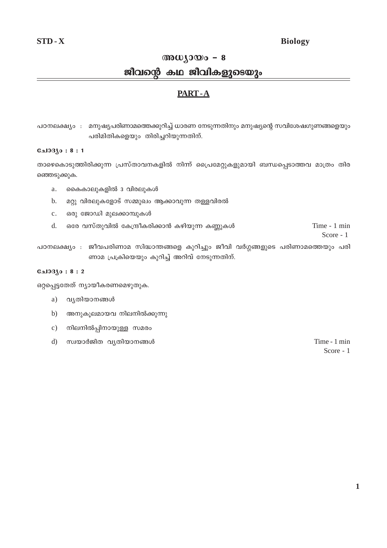# **Biology**

# അധ്യായം –  $8$

# ജീവന്റെ കഥ ജീവികളുടെയും

# **PART-A**

പഠനലക്ഷ്യം : മനുഷ്യപരിണാമത്തെക്കുറിച്ച് ധാരണ നേടുന്നതിനും മനുഷ്യന്റെ സവിശേഷഗുണങ്ങളെയും പരിമിതികളെയും തിരിച്ചറിയുന്നതിന്.

# ചോദ്യം : 8 : 1

താഴെകൊടുത്തിരിക്കുന്ന പ്രസ്താവനകളിൽ നിന്ന് പ്രൈമേറ്റുകളുമായി ബന്ധപ്പെടാത്തവ മാത്രം തിര ഞ്ഞെടുക്കുക.

- കൈകാലുകളിൽ 3 വിരലുകൾ a.
- മറ്റു വിരലുകളോട് സമ്മുഖം ആക്കാവുന്ന തള്ളവിരൽ  $b.$
- ഒരു ജോഡി മുലക്കാമ്പുകൾ  $\mathbf{c}$ .
- ഒരേ വസ്തുവിൽ കേന്ദ്രീകരിക്കാൻ കഴിയുന്ന കണ്ണുകൾ Time - 1 min  $d.$

Score - 1

പഠനലക്ഷ്യം : ജീവപരിണാമ സിദ്ധാന്തങ്ങളെ കുറിച്ചും ജീവി വർഗ്ഗങ്ങളുടെ പരിണാമത്തെയും പരി ണാമ പ്രക്രിയെയും കുറിച്ച് അറിവ് നേടുന്നതിന്.

# $0.103$ јо: 8:2

ഒറ്റപ്പെട്ടതേത് ന്യായീകരണമെഴുതുക.

- a) വ്യതിയാനങ്ങൾ
- $b)$ അനുകൂലമായവ നിലനിൽക്കുന്നു
- $c)$ നിലനിൽപ്പിനായുള്ള സമരം
- $\mathbf{d}$ സ്വയാർജിത വൃതിയാനങ്ങൾ

Time - 1 min Score - 1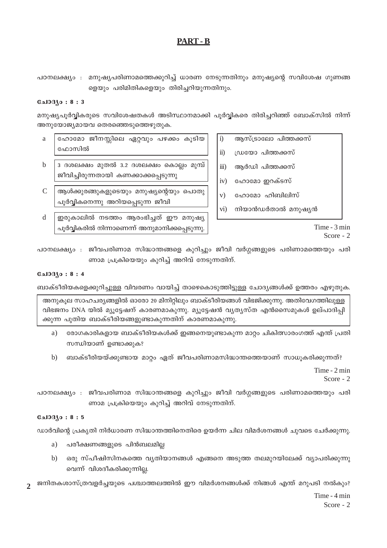# **PART-B**

പഠനലക്ഷ്യം : മനുഷ്യപരിണാമത്തെക്കുറിച്ച് ധാരണ നേടുന്നതിനും മനുഷ്യന്റെ സവിശേഷ ഗുണങ്ങ ളെയും പരിമിതികളെയും തിരിച്ചറിയുന്നതിനും.

# **Gal33.0:8:3**

മനുഷ്യപൂർവ്വികരുടെ സവിശേഷതകൾ അടിസ്ഥാനമാക്കി പൂർവ്വികരെ തിരിച്ചറിഞ്ഞ് ബോക്സിൽ നിന്ന് അനുയോജ്യമായവ തെരഞ്ഞെടുത്തെഴുതുക.

- a ഹോമോ ജീനസ്സിലെ ഏറ്റവും പഴക്കം കൂടിയ ഫോസിൽ
- $\mathbf b$ 3 ദശലക്ഷം മുതൽ 3.2 ദശലക്ഷം കൊല്ലം മുമ്പ് ജീവിച്ചിരുന്നതായി കണക്കാക്കപ്പെടുന്നു
- $\mathcal{C}$ ആൾക്കുരങ്ങുകളുടെയും മനുഷ്യന്റെയും പൊതു പൂർവ്വികനെന്നു അറിയപ്പെടുന്ന ജീവി
- d ഇരുകാലിൽ നടത്തം ആരംഭിച്ചത് ഈ മനുഷ്യ പൂർവ്വികരിൽ നിന്നാണെന്ന് അനുമാനിക്കപ്പെടുന്നു.
- $i)$ ആസ്ട്രാലോ പിത്തക്കസ്
- $\ddot{\textbf{i}}$ ഡ്രയോ പിത്തക്കസ്
- ആർഡി പിത്തക്കസ്  $\dddot{\mathbf{m}}$ )
- iv) ഹോമോ ഇറക്ടസ്
- $V)$ ഹോമോ ഹിബിലിസ്
- നിയാൻഡർതാൽ മനുഷ്യൻ  $\overline{vi}$

Time - 3 min Score - 2

പഠനലക്ഷ്യം : ജീവപരിണാമ സിദ്ധാന്തങ്ങളെ കുറിച്ചും ജീവി വർഗ്ഗങ്ങളുടെ പരിണാമത്തെയും പരി ണാമ പ്രക്രിയെയും കുറിച്ച് അറിവ് നേടുന്നതിന്.

# $0.1030:8:4$

ബാക്ടീരിയകളെക്കുറിച്ചുള്ള വിവരണം വായിച്ച് താഴെകൊടുത്തിട്ടുള്ള ചോദ്യങ്ങൾക്ക് ഉത്തരം എഴുതുക.

അനുകൂല സാഹചര്യങ്ങളിൽ ഓരോ 20 മിനിറ്റിലും ബാക്ടീരിയങ്ങൾ വിഭജിക്കുന്നു. അതിവേഗത്തിലുള്ള വിഭജനം DNA യിൽ മ്യൂട്ടേഷന് കാരണമാകുന്നു. മ്യൂട്ടേഷൻ വ്യത്യസ്ത എൻസൈമുകൾ ഉല്പാദിപ്പി ക്കുന്ന പുതിയ ബാക്ടീരിയങ്ങളുണ്ടാകുന്നതിന് കാരണമാകുന്നു.

- രോഗകാരികളായ ബാക്ടീരിയകൾക്ക് ഇങ്ങനെയുണ്ടാകുന്ന മാറ്റം ചികിത്സാരംഗത്ത് എന്ത് പ്രതി a) സന്ധിയാണ് ഉണ്ടാക്കുക?
- ്ബാക്ടീരിയയ്ക്കുണ്ടായ മാറ്റം ഏത് ജീവപരിണാമസിദ്ധാന്തത്തെയാണ് സാധൂകരിക്കുന്നത്? b)

Time - 2 min Score -  $2$ 

പഠനലക്ഷ്യം : ജീവപരിണാമ സിദ്ധാന്തങ്ങളെ കുറിച്ചും ജീവി വർഗ്ഗങ്ങളുടെ പരിണാമത്തെയും പരി ണാമ പ്രക്രിയെയും കൂറിച്ച് അറിവ് നേടുന്നതിന്.

# $0.10310:8:5$

ഡാർവിന്റെ പ്രകൃതി നിർധാരണ സിദ്ധാന്തത്തിനെതിരെ ഉയർന്ന ചില വിമർശനങ്ങൾ ചുവടെ ചേർക്കുന്നു.

- പരീക്ഷണങ്ങളുടെ പിൻബലമില്ല a)
- $b)$ ഒരു സ്പീഷിസിനകത്തെ വ്യതിയാനങ്ങൾ എങ്ങനെ അടുത്ത തലമുറയിലേക്ക് വ്യാപരിക്കുന്നു വെന്ന് വിശദീകരിക്കുന്നില്ല.
- ജനിതകശാസ്ത്രവളർച്ചയുടെ പശ്ചാത്തലത്തിൽ ഈ വിമർശനങ്ങൾക്ക് നിങ്ങൾ എന്ത് മറുപടി നൽകും?  $\mathcal{D}_{\alpha}$

Time - 4 min Score -  $2$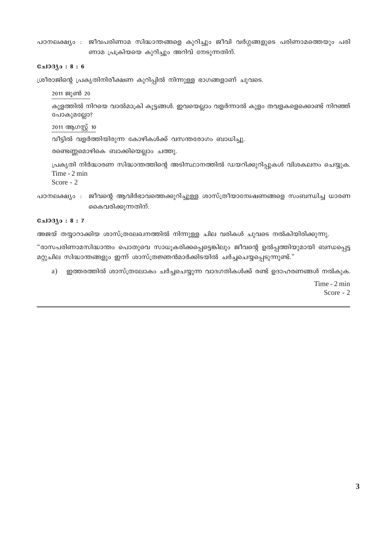പഠനലക്ഷ്യം : ജീവപരിണാമ സിദ്ധാന്തങ്ങളെ കുറിച്ചും ജീവി വർഗ്ഗങ്ങളുടെ പരിണാമത്തെയും പരി ണാമ പ്രക്രിയയെ കുറിച്ചും അറിവ് നേടുന്നതിന്.

#### **С**ыЗЗЗо: 8:6

 $\mu$ രീരാജിന്റെ പ്രകൃതിനിരീക്ഷണ കുറിപ്പിൽ നിന്നുള്ള ഭാഗങ്ങളാണ് ചുവടെ.

### $2011$  ജൂൺ  $20$

കുളത്തിൽ നിറയെ വാൽമാക്രി കൂട്ടങ്ങൾ. ഇവയെല്ലാം വളർന്നാൽ കുളം തവളകളെക്കൊണ്ട് നിറഞ്ഞ് പോകുമല്ലോ?

#### $2011$  ആഗസ്റ്റ് 10

വീട്ടിൽ വളർത്തിയിരുന്ന കോഴികൾക്ക് വസന്തരോഗം ബാധിച്ചു.

രണ്ടെണ്ണമൊഴികെ ബാക്കിയെല്ലാം ചത്തു.

 ${[a}$ Lകൃതി നിർദ്ധാരണ സിദ്ധാന്തത്തിന്റെ അടിസ്ഥാനത്തിൽ ഡയറിക്കുറിപ്പുകൾ വിശകലനം ചെയ്യുക. Time - 2 min

Score - 2

പഠനലക്ഷ്യം : ജീവന്റെ ആവിർഭാവത്തെക്കുറിച്ചുള്ള ശാസ്ത്രീയാന്വേഷണങ്ങളെ സംബന്ധിച്ച ധാരണ കൈവരിക്കുന്നതിന്.

# $C_1$ 3 : 3 : 7

അജയ് തയ്യാറാക്കിയ ശാസ്ത്രലേഖനത്തിൽ നിന്നുള്ള ചില വരികൾ ചുവടെ നൽകിയിരിക്കുന്നു.

 $\,$ "രാസപരിണാമസിദ്ധാന്തം പൊതുവെ സാധൂകരിക്കപ്പെട്ടെങ്കിലും ജീവന്റെ ഉൽപ്പത്തിയുമായി ബന്ധപ്പെട്ട മറ്റുചില സിദ്ധാന്തങ്ങളും ഇന്ന് ശാസ്ത്രജ്ഞൻമാർക്കിടയിൽ ചർച്ചചെയ്യപ്പെടുന്നുണ്ട്."

a) ഇത്തരത്തിൽ ശാസ്ത്രലോകം ചർച്ചചെയ്യുന്ന വാദഗതികൾക്ക് രണ്ട് ഉദാഹരണങ്ങൾ നൽകുക.

Time - 2 min Score - 2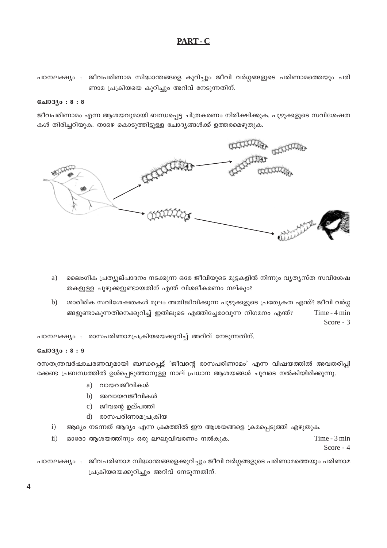# PART-C

```
പഠനലക്ഷ്യം : ജീവപരിണാമ സിദ്ധാന്തങ്ങളെ കുറിച്ചും ജീവി വർഗ്ഗങ്ങളുടെ പരിണാമത്തെയും പരി
  ണാമ പ്രക്രിയയെ കുറിച്ചും അറിവ് നേടുന്നതിന്.
```
# $0.1030:8:8$

ജീവപരിണാമം എന്ന ആശയവുമായി ബന്ധപ്പെട്ട ചിത്രകരണം നിരീക്ഷിക്കുക. പുഴുക്കളുടെ സവിശേഷത കൾ തിരിച്ചറിയുക. താഴെ കൊടുത്തിട്ടുള്ള ചോദ്യങ്ങൾക്ക് ഉത്തരമെഴുതുക.



- a) ലൈംഗിക പ്രത്യുല്പാദനം നടക്കുന്ന ഒരേ ജീവിയുടെ മുട്ടകളിൽ നിന്നും വ്യത്യസ്ത സവിശേഷ തകളുള്ള പുഴുക്കളുണ്ടായതിന് എന്ത് വിശദീകരണം നല്കും?
- ശാരീരിക സവിശേഷതകൾ മൂലം അതിജീവിക്കുന്ന പുഴുക്കളുടെ പ്രത്യേകത എന്ത്? ജീവി വർഗ്ഗ  $b)$ ങ്ങളുണ്ടാകുന്നതിനെക്കുറിച്ച് ഇതിലൂടെ എത്തിച്ചേരാവുന്ന നിഗമനം എന്ത്? Time - 4 min Score -  $3$

പഠനലക്ഷ്യം : രാസപരിണാമപ്രക്രിയയെക്കുറിച്ച് അറിവ് നേടുന്നതിന്.

# **பോദ്യം : 8 : 9**

രസതന്ത്രവർഷാചരണവുമായി ബന്ധപ്പെട്ട് 'ജീവന്റെ രാസപരിണാമം' എന്ന വിഷയത്തിൽ അവതരിപ്പി ക്കേണ്ട പ്രബന്ധത്തിൽ ഉൾപ്പെടുത്താനുള്ള നാല് പ്രധാന ആശയങ്ങൾ ചുവടെ നൽകിയിരിക്കുന്നു.

- a) വായവജീവികൾ
- b) അവായവജീവികൾ
- c) ജീവന്റെ ഉല്പത്തി
- d) രാസപരിണാമപ്രക്രിയ
- ആദ്യം നടന്നത് ആദ്യം എന്ന ക്രമത്തിൽ ഈ ആശയങ്ങളെ ക്രമപ്പെടുത്തി എഴുതുക.  $\mathbf{i}$
- ഓരോ ആശയത്തിനും ഒരു ലഘുവിവരണം നൽകുക.  $\ddot{\mathbf{i}}$ ) Time - 3 min

Score -  $4$ 

പഠനലക്ഷ്യം : ജീവപരിണാമ സിദ്ധാന്തങ്ങളെക്കുറിച്ചും ജീവി വർഗ്ഗങ്ങളുടെ പരിണാമത്തെയും പരിണാമ പ്രക്രിയയെക്കുറിച്ചും അറിവ് നേടുന്നതിന്.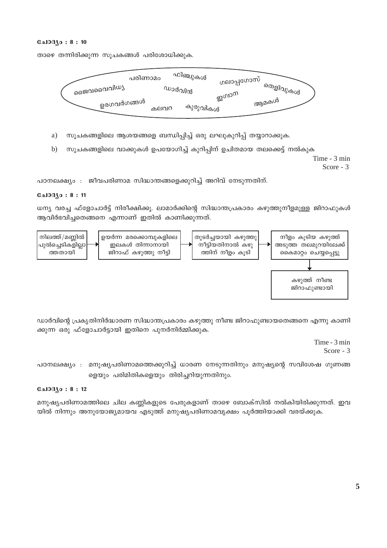#### **பോദ്യം: 8:10**

താഴെ തന്നിരിക്കുന്ന സൂചകങ്ങൾ പരിശോധിക്കുക.



- സൂചകങ്ങളിലെ ആശയങ്ങളെ ബന്ധിപ്പിച്ച് ഒരു ലഘുകുറിപ്പ് തയ്യാറാക്കുക. a)
- സൂചകങ്ങളിലെ വാക്കുകൾ ഉപയോഗിച്ച് കുറിപ്പിന് ഉചിതമായ തലക്കെട്ട് നൽകുക  $b)$

Time - 3 min Score - 3

പഠനലക്ഷ്യം : ജീവപരിണാമ സിദ്ധാന്തങ്ങളെക്കുറിച്ച് അറിവ് നേടുന്നതിന്.

#### **பോദ്യം : 8 : 11**

ധന്യ വരച്ച ഫ്ളോചാർട്ട് നിരീക്ഷിക്കു. ലാമാർക്കിന്റെ സിദ്ധാന്തപ്രകാരം കഴുത്തുനീളമുള്ള ജിറാഫുകൾ ആവിർഭവിച്ചതെങ്ങനെ എന്നാണ് ഇതിൽ കാണിക്കുന്നത്.



ഡാർവിന്റെ പ്രകൃതിനിർദ്ധാരണ സിദ്ധാന്തപ്രകാരം കഴുത്തു നീണ്ട ജിറാഫുണ്ടായതെങ്ങനെ എന്നു കാണി ക്കുന്ന ഒരു ഫ്ളോചാർട്ടായി ഇതിനെ പുനർനിർമ്മിക്കുക.

> Time - 3 min Score -  $3$

പഠനലക്ഷ്യം : മനുഷ്യപരിണാമത്തെക്കുറിച്ച് ധാരണ നേടുന്നതിനും മനുഷ്യന്റെ സവിശേഷ ഗുണങ്ങ ളെയും പരിമിതികളെയും തിരിച്ചറിയുന്നതിനും.

# $C_{2}103(0:8:12)$

മനുഷ്യപരിണാമത്തിലെ ചില കണ്ണികളുടെ പേരുകളാണ് താഴെ ബോക്സിൽ നൽകിയിരിക്കുന്നത്. ഇവ യിൽ നിന്നും അനുയോജ്യമായവ എടുത്ത് മനുഷ്യപരിണാമവൃക്ഷം പൂർത്തിയാക്കി വരയ്ക്കുക.